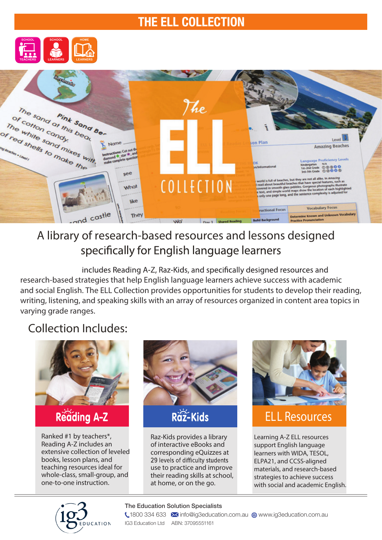## THE ELL COLLECTION





# A library of research-based resources and lessons designed specifically for English language learners

includes Reading A-Z, Raz-Kids, and specifically designed resources and research-based strategies that help English language learners achieve success with academic and social English. The ELL Collection provides opportunities for students to develop their reading, writing, listening, and speaking skills with an array of resources organized in content area topics in varying grade ranges.

## Collection Includes:



Ranked #1 by teachers\*, Reading A-Z includes an extensive collection of leveled books, lesson plans, and teaching resources ideal for whole-class, small-group, and one-to-one instruction.



Raz-Kids provides a library of interactive eBooks and corresponding eQuizzes at 29 levels of difficulty students use to practice and improve their reading skills at school, at home, or on the go.



# ELL Resources

Learning A-Z ELL resources support English language learners with WIDA, TESOL, ELPA21, and CCSS-aligned materials, and research-based strategies to achieve success with social and academic English.



#### The Education Solution Specialists

**1800 334 633 M** info@ig3education.com.au @ www.ig3education.com.au IG3 Education Ltd ABN: 37095551161